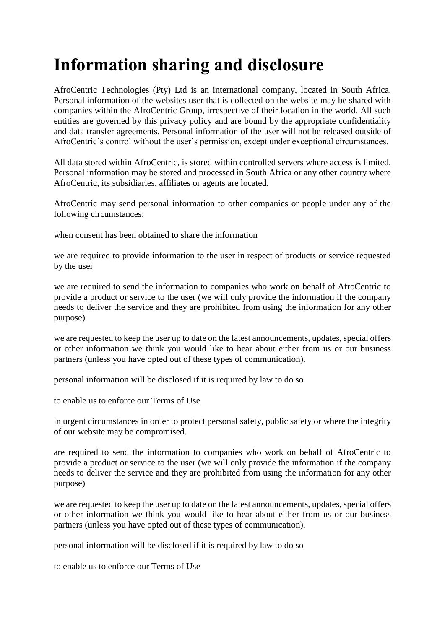## **Information sharing and disclosure**

AfroCentric Technologies (Pty) Ltd is an international company, located in South Africa. Personal information of the websites user that is collected on the website may be shared with companies within the AfroCentric Group, irrespective of their location in the world. All such entities are governed by this privacy policy and are bound by the appropriate confidentiality and data transfer agreements. Personal information of the user will not be released outside of AfroCentric's control without the user's permission, except under exceptional circumstances.

All data stored within AfroCentric, is stored within controlled servers where access is limited. Personal information may be stored and processed in South Africa or any other country where AfroCentric, its subsidiaries, affiliates or agents are located.

AfroCentric may send personal information to other companies or people under any of the following circumstances:

when consent has been obtained to share the information

we are required to provide information to the user in respect of products or service requested by the user

we are required to send the information to companies who work on behalf of AfroCentric to provide a product or service to the user (we will only provide the information if the company needs to deliver the service and they are prohibited from using the information for any other purpose)

we are requested to keep the user up to date on the latest announcements, updates, special offers or other information we think you would like to hear about either from us or our business partners (unless you have opted out of these types of communication).

personal information will be disclosed if it is required by law to do so

to enable us to enforce our Terms of Use

in urgent circumstances in order to protect personal safety, public safety or where the integrity of our website may be compromised.

are required to send the information to companies who work on behalf of AfroCentric to provide a product or service to the user (we will only provide the information if the company needs to deliver the service and they are prohibited from using the information for any other purpose)

we are requested to keep the user up to date on the latest announcements, updates, special offers or other information we think you would like to hear about either from us or our business partners (unless you have opted out of these types of communication).

personal information will be disclosed if it is required by law to do so

to enable us to enforce our Terms of Use